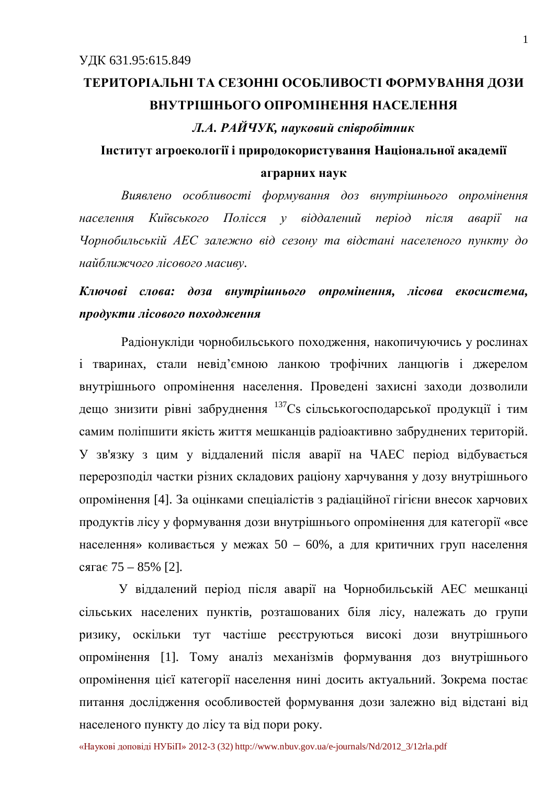# ТЕРИТОРІАЛЬНІ ТА СЕЗОННІ ОСОБЛИВОСТІ ФОРМУВАННЯ ДОЗИ **ВНУТРІШНЬОГО ОПРОМІНЕННЯ НАСЕЛЕННЯ**

 $J.A.$  РАЙЧУК, науковий співробітник

### Iнститут агроекології і природокористування Національної академії **аграрних наук**

Виявлено особливості формування доз внутрішнього опромінення населення Київського Полісся у віддалений період після аварії на Чорнобильській АЕС залежно від сезону та відстані населеного пункту до  $H$ айближчого лісового масиву.

### Ключові слова: доза внутрішнього опромінення, лісова екосистема, продукти лісового походження

Радіонукліди чорнобильського походження, накопичуючись у рослинах і тваринах, стали невід'ємною ланкою трофічних ланцюгів і джерелом внутрішнього опромінення населення. Проведені захисні заходи дозволили дещо знизити рівні забруднення <sup>137</sup>Сs сільськогосподарської продукції і тим самим поліпшити якість життя мешканців радіоактивно забруднених територій. У зв'язку з цим у віддалений після аварії на ЧАЕС період відбувається перерозподіл частки різних складових раціону харчування у дозу внутрішнього опромінення [4]. За оцінками спеціалістів з радіаційної гігієни внесок харчових продуктів лісу у формування дози внутрішнього опромінення для категорії «все населення» коливається у межах 50 – 60%, а для критичних груп населення  $c$ *s* $ra \epsilon$  75 – 85% [2].

У віддалений період після аварії на Чорнобильській АЕС мешканці сільських населених пунктів, розташованих біля лісу, належать до групи ризику, оскільки тут частіше реєструються високі дози внутрішнього опромінення [1]. Тому аналіз механізмів формування доз внутрішнього опромінення цієї категорії населення нині досить актуальний. Зокрема постає питання дослідження особливостей формування дози залежно від відстані від населеного пункту до лісу та від пори року.

«Наукові доповіді НУБіП» 2012-3 (32) [http://www.nbuv.gov.ua/e-journals/Nd/2012\\_3/12rla.pdf](http://www.nbuv.gov.ua/e-journals/Nd/2012_3/12rla.pdf)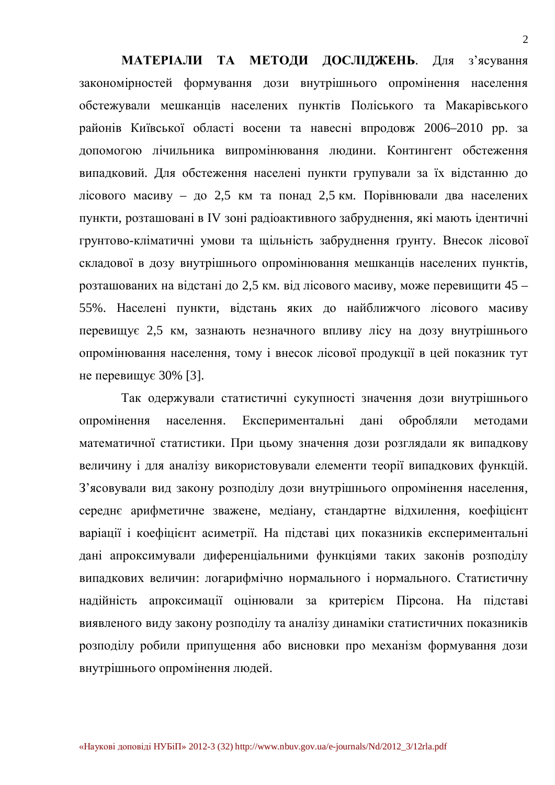МАТЕРІАЛИ ТА МЕТОДИ ДОСЛІДЖЕНЬ. Для з'ясування закономірностей формування дози внутрішнього опромінення населення обстежували мешканців населених пунктів Поліського та Макарівського районів Київської області восени та навесні впродовж 2006–2010 рр. за допомогою лічильника випромінювання людини. Контингент обстеження випадковий. Для обстеження населені пункти групували за їх відстанню до лісового масиву – до 2,5 км та понад 2,5 км. Порівнювали два населених пункти, розташовані в IV зоні радіоактивного забруднення, які мають ідентичні грунтово-кліматичні умови та щільність забруднення ґрунту. Внесок лісової складової в дозу внутрішнього опромінювання мешканців населених пунктів, розташованих на відстані до 2,5 км. від лісового масиву, може перевищити 45 – 55%. Населені пункти, відстань яких до найближчого лісового масиву перевищує 2,5 км, зазнають незначного впливу лісу на дозу внутрішнього опромінювання населення, тому і внесок лісової продукції в цей показник тут не перевищує  $30\%$  [3].

Так одержували статистичні сукупності значення дози внутрішнього опромінення населення. Експериментальні дані обробляли методами математичної статистики. При цьому значення дози розглядали як випадкову величину і для аналізу використовували елементи теорії випадкових функцій. З'ясовували вид закону розподілу дози внутрішнього опромінення населення, середнє арифметичне зважене, медіану, стандартне відхилення, коефіцієнт варіації і коефіцієнт асиметрії. На підставі цих показників експериментальні дані апроксимували диференціальними функціями таких законів розподілу випадкових величин: логарифмічно нормального і нормального. Статистичну надійність апроксимації оцінювали за критерієм Пірсона. На підставі виявленого виду закону розподілу та аналізу динаміки статистичних показників розподілу робили припущення або висновки про механізм формування дози внутрішнього опромінення людей.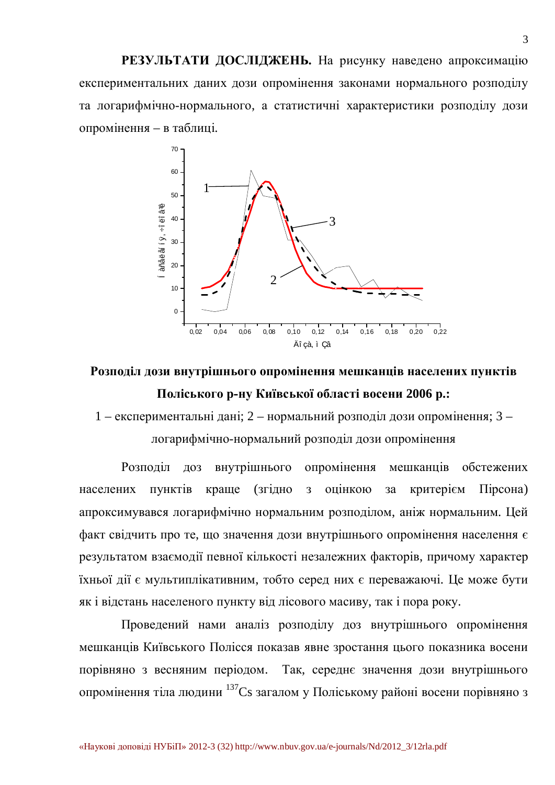РЕЗУЛЬТАТИ ДОСЛІДЖЕНЬ. На рисунку наведено апроксимацію експериментальних даних дози опромінення законами нормального розподілу та логарифмічно-нормального, а статистичні характеристики розподілу дози опромінення – в таблиці.



### Розподіл дози внутрішнього опромінення мешканців населених пунктів Поліського р-ну Київської області восени 2006 р.:

1 – експериментальні дані; 2 – нормальний розподіл дози опромінення; 3 – логарифмічно-нормальний розподіл дози опромінення

Розподіл доз внутрішнього опромінення мешканців обстежених населених пунктів краще (згідно з оцінкою за критерієм Пірсона) апроксимувався логарифмічно нормальним розподілом, аніж нормальним. Цей факт свідчить про те, що значення дози внутрішнього опромінення населення є результатом взаємодії певної кількості незалежних факторів, причому характер їхньої дії є мультиплікативним, тобто серед них є переважаючі. Це може бути як і відстань населеного пункту від лісового масиву, так і пора року.

Проведений нами аналіз розподілу доз внутрішнього опромінення мешканців Київського Полісся показав явне зростання цього показника восени порівняно з весняним періодом. Так, середнє значення дози внутрішнього опромінення тіла людини <sup>137</sup>Сs загалом у Поліському районі восени порівняно з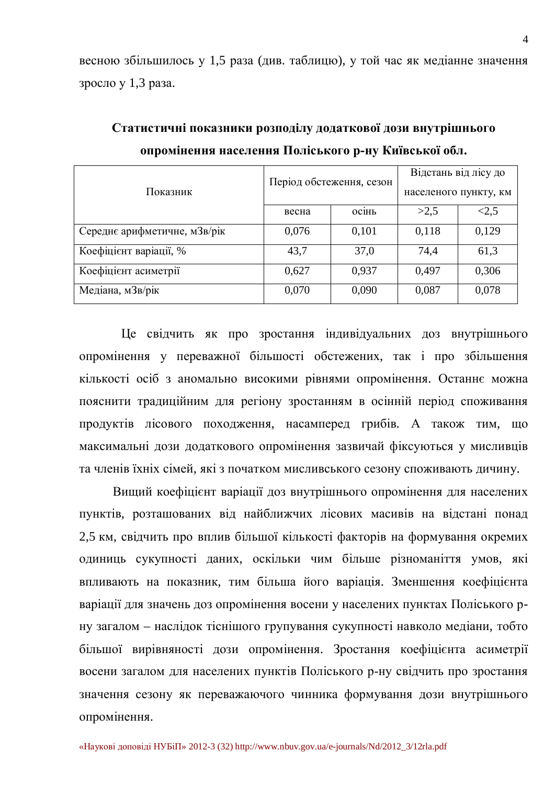весною збільшилось у 1,5 раза (див. таблицю), у той час як медіанне значення зросло у 1,3 раза.

| Показник                     | Період обстеження, сезон |              | Відстань від лісу до  |       |
|------------------------------|--------------------------|--------------|-----------------------|-------|
|                              |                          |              | населеного пункту, км |       |
|                              | весна                    | <b>ОС1НЬ</b> | >2,5                  | <2,5  |
| Середнє арифметичне, мЗв/рік | 0,076                    | 0,101        | 0,118                 | 0,129 |
| Коефіцієнт варіації, %       | 43,7                     | 37,0         | 74,4                  | 61,3  |
| Коефіцієнт асиметрії         | 0,627                    | 0,937        | 0,497                 | 0,306 |
| Медіана, мЗв/рік             | 0,070                    | 0,090        | 0,087                 | 0,078 |

Статистичні показники розподілу додаткової дози внутрішнього **ипромінення населення Поліського р-ну Київської обл.** 

Це свідчить як про зростання індивідуальних доз внутрішнього опромінення у переважної більшості обстежених, так і про збільшення кількості осіб з аномально високими рівнями опромінення. Останнє можна пояснити традиційним для регіону зростанням в осінній період споживання продуктів лісового походження, насамперед грибів. А також тим, що максимальні дози додаткового опромінення зазвичай фіксуються у мисливців та членів їхніх сімей, які з початком мисливського сезону споживають дичину.

Вищий коефіцієнт варіації доз внутрішнього опромінення для населених пунктів, розташованих від найближчих лісових масивів на відстані понад 2.5 км, свідчить про вплив більшої кількості факторів на формування окремих одиниць сукупності даних, оскільки чим більше різноманіття умов, які впливають на показник, тим більша його варіація. Зменшення коефіцієнта варіації для значень доз опромінення восени у населених пунктах Поліського рну загалом – наслідок тіснішого групування сукупності навколо медіани, тобто більшої вирівняності дози опромінення. Зростання коефіцієнта асиметрії восени загалом для населених пунктів Поліського р-ну свідчить про зростання значення сезону як переважаючого чинника формування дози внутрішнього опромінення.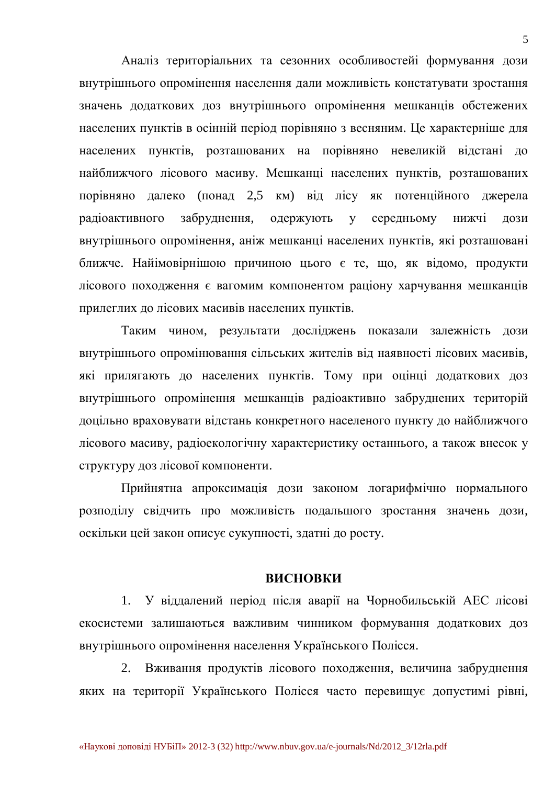Аналіз територіальних та сезонних особливостей формування дози внутрішнього опромінення населення дали можливість констатувати зростання значень додаткових доз внутрішнього опромінення мешканців обстежених населених пунктів в осінній період порівняно з весняним. Це характерніше для населених пунктів, розташованих на порівняно невеликій відстані до найближчого лісового масиву. Мешканці населених пунктів, розташованих порівняно далеко (понад 2,5 км) від лісу як потенційного джерела радіоактивного забруднення, одержують у середньому нижчі дози внутрішнього опромінення, аніж мешканці населених пунктів, які розташовані ближче. Найімовірнішою причиною цього є те, що, як відомо, продукти лісового походження є вагомим компонентом раціону харчування мешканців прилеглих до лісових масивів населених пунктів.

Таким чином, результати досліджень показали залежність дози внутрішнього опромінювання сільських жителів від наявності лісових масивів, які прилягають до населених пунктів. Тому при оцінці додаткових доз внутрішнього опромінення мешканців радіоактивно забруднених територій доцільно враховувати відстань конкретного населеного пункту до найближчого лісового масиву, радіоекологічну характеристику останнього, а також внесок у структуру доз лісової компоненти.

Прийнятна апроксимація дози законом логарифмічно нормального розподілу свідчить про можливість подальшого зростання значень дози, оскільки цей закон описує сукупності, здатні до росту.

#### **ВИСНОВКИ**

1. У віддалений період після аварії на Чорнобильській АЕС лісові екосистеми залишаються важливим чинником формування додаткових доз внутрішнього опромінення населення Українського Полісся.

2. Вживання продуктів лісового походження, величина забруднення яких на території Українського Полісся часто перевищує допустимі рівні,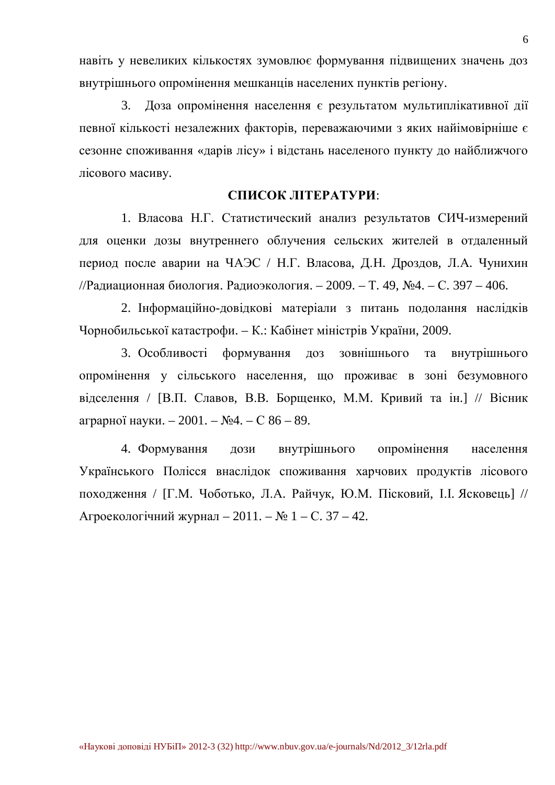навіть у невеликих кількостях зумовлює формування підвищених значень доз внутрішнього опромінення мешканців населених пунктів регіону.

3. Доза опромінення населення є результатом мультиплікативної дії певної кількості незалежних факторів, переважаючими з яких найімовірніше є сезонне споживання «дарів лісу» і відстань населеного пункту до найближчого лісового масиву.

#### СПИСОК ЛІТЕРАТУРИ:

1. Власова Н.Г. Статистический анализ результатов СИЧ-измерений для оценки дозы внутреннего облучения сельских жителей в отдаленный период после аварии на ЧАЭС / Н.Г. Власова, Д.Н. Дроздов, Л.А. Чунихин //Радиационная биология. Радиоэкология. – 2009. – Т. 49,  $N<sub>2</sub>4. - C. 397 - 406.$ 

2. Інформаційно-довідкові матеріали з питань подолання наслідків Чорнобильської катастрофи. – К.: Кабінет міністрів України, 2009.

3. Особливості формування доз зовнішнього та внутрішнього опромінення у сільського населення, що проживає в зоні безумовного відселення / [В.П. Славов, В.В. Борщенко, М.М. Кривий та ін.] // Вісник аграрної науки. – 2001. –  $\mathbb{N}^2$ 4. – С 86 – 89.

4. Формування дози внутрішнього опромінення населення Українського Полісся внаслідок споживання харчових продуктів лісового походження / [Г.М. Чоботько, Л.А. Райчук, Ю.М. Пісковий, І.І. Ясковець] // Агроекологічний журнал – 2011. – № 1 – С. 37 – 42.